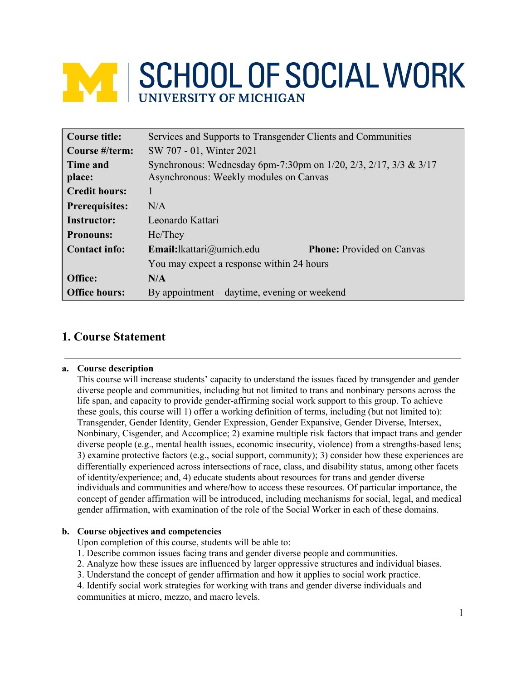# **NEW SCHOOL OF SOCIAL WORK**

| <b>Course title:</b>  | Services and Supports to Transgender Clients and Communities     |                                  |  |
|-----------------------|------------------------------------------------------------------|----------------------------------|--|
| Course #/term:        | SW 707 - 01, Winter 2021                                         |                                  |  |
| Time and              | Synchronous: Wednesday 6pm-7:30pm on 1/20, 2/3, 2/17, 3/3 & 3/17 |                                  |  |
| place:                | Asynchronous: Weekly modules on Canvas                           |                                  |  |
| <b>Credit hours:</b>  | 1                                                                |                                  |  |
| <b>Prerequisites:</b> | N/A                                                              |                                  |  |
| <b>Instructor:</b>    | Leonardo Kattari                                                 |                                  |  |
| <b>Pronouns:</b>      | He/They                                                          |                                  |  |
| <b>Contact info:</b>  | <b>Email:</b> lkattari@umich.edu                                 | <b>Phone:</b> Provided on Canvas |  |
|                       | You may expect a response within 24 hours                        |                                  |  |
| Office:               | N/A                                                              |                                  |  |
| <b>Office hours:</b>  | By appointment – daytime, evening or weekend                     |                                  |  |

# **1. Course Statement**

# **a. Course description**

This course will increase students' capacity to understand the issues faced by transgender and gender diverse people and communities, including but not limited to trans and nonbinary persons across the life span, and capacity to provide gender-affirming social work support to this group. To achieve these goals, this course will 1) offer a working definition of terms, including (but not limited to): Transgender, Gender Identity, Gender Expression, Gender Expansive, Gender Diverse, Intersex, Nonbinary, Cisgender, and Accomplice; 2) examine multiple risk factors that impact trans and gender diverse people (e.g., mental health issues, economic insecurity, violence) from a strengths-based lens; 3) examine protective factors (e.g., social support, community); 3) consider how these experiences are differentially experienced across intersections of race, class, and disability status, among other facets of identity/experience; and, 4) educate students about resources for trans and gender diverse individuals and communities and where/how to access these resources. Of particular importance, the concept of gender affirmation will be introduced, including mechanisms for social, legal, and medical gender affirmation, with examination of the role of the Social Worker in each of these domains.

# **b. Course objectives and competencies**

Upon completion of this course, students will be able to:

- 1. Describe common issues facing trans and gender diverse people and communities.
- 2. Analyze how these issues are influenced by larger oppressive structures and individual biases.
- 3. Understand the concept of gender affirmation and how it applies to social work practice.

4. Identify social work strategies for working with trans and gender diverse individuals and communities at micro, mezzo, and macro levels.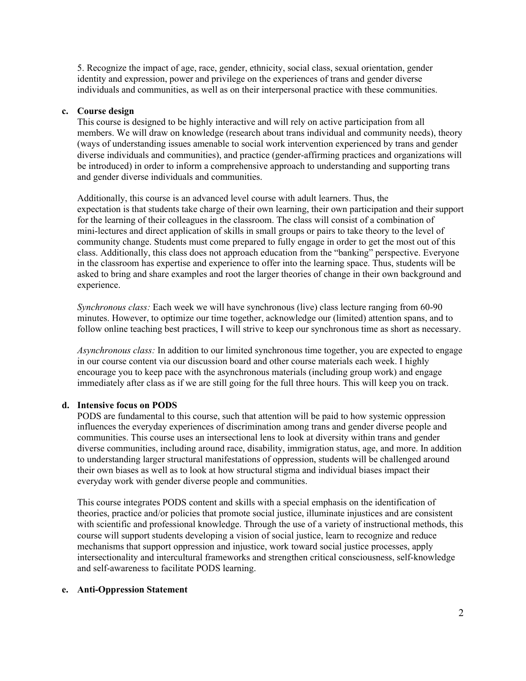5. Recognize the impact of age, race, gender, ethnicity, social class, sexual orientation, gender identity and expression, power and privilege on the experiences of trans and gender diverse individuals and communities, as well as on their interpersonal practice with these communities.

## **c. Course design**

This course is designed to be highly interactive and will rely on active participation from all members. We will draw on knowledge (research about trans individual and community needs), theory (ways of understanding issues amenable to social work intervention experienced by trans and gender diverse individuals and communities), and practice (gender-affirming practices and organizations will be introduced) in order to inform a comprehensive approach to understanding and supporting trans and gender diverse individuals and communities.

Additionally, this course is an advanced level course with adult learners. Thus, the expectation is that students take charge of their own learning, their own participation and their support for the learning of their colleagues in the classroom. The class will consist of a combination of mini-lectures and direct application of skills in small groups or pairs to take theory to the level of community change. Students must come prepared to fully engage in order to get the most out of this class. Additionally, this class does not approach education from the "banking" perspective. Everyone in the classroom has expertise and experience to offer into the learning space. Thus, students will be asked to bring and share examples and root the larger theories of change in their own background and experience.

*Synchronous class:* Each week we will have synchronous (live) class lecture ranging from 60-90 minutes. However, to optimize our time together, acknowledge our (limited) attention spans, and to follow online teaching best practices, I will strive to keep our synchronous time as short as necessary.

*Asynchronous class:* In addition to our limited synchronous time together, you are expected to engage in our course content via our discussion board and other course materials each week. I highly encourage you to keep pace with the asynchronous materials (including group work) and engage immediately after class as if we are still going for the full three hours. This will keep you on track.

## **d. Intensive focus on PODS**

PODS are fundamental to this course, such that attention will be paid to how systemic oppression influences the everyday experiences of discrimination among trans and gender diverse people and communities. This course uses an intersectional lens to look at diversity within trans and gender diverse communities, including around race, disability, immigration status, age, and more. In addition to understanding larger structural manifestations of oppression, students will be challenged around their own biases as well as to look at how structural stigma and individual biases impact their everyday work with gender diverse people and communities.

This course integrates PODS content and skills with a special emphasis on the identification of theories, practice and/or policies that promote social justice, illuminate injustices and are consistent with scientific and professional knowledge. Through the use of a variety of instructional methods, this course will support students developing a vision of social justice, learn to recognize and reduce mechanisms that support oppression and injustice, work toward social justice processes, apply intersectionality and intercultural frameworks and strengthen critical consciousness, self-knowledge and self-awareness to facilitate PODS learning.

#### **e. Anti-Oppression Statement**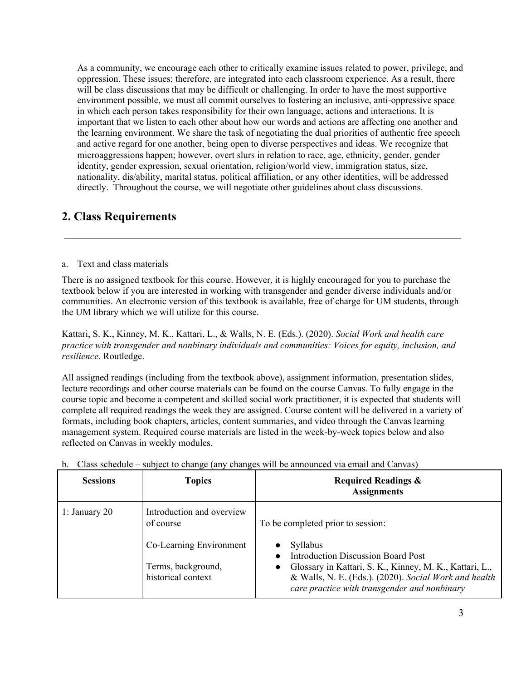As a community, we encourage each other to critically examine issues related to power, privilege, and oppression. These issues; therefore, are integrated into each classroom experience. As a result, there will be class discussions that may be difficult or challenging. In order to have the most supportive environment possible, we must all commit ourselves to fostering an inclusive, anti-oppressive space in which each person takes responsibility for their own language, actions and interactions. It is important that we listen to each other about how our words and actions are affecting one another and the learning environment. We share the task of negotiating the dual priorities of authentic free speech and active regard for one another, being open to diverse perspectives and ideas. We recognize that microaggressions happen; however, overt slurs in relation to race, age, ethnicity, gender, gender identity, gender expression, sexual orientation, religion/world view, immigration status, size, nationality, dis/ability, marital status, political affiliation, or any other identities, will be addressed directly. Throughout the course, we will negotiate other guidelines about class discussions.

# **2. Class Requirements**

## a. Text and class materials

There is no assigned textbook for this course. However, it is highly encouraged for you to purchase the textbook below if you are interested in working with transgender and gender diverse individuals and/or communities. An electronic version of this textbook is available, free of charge for UM students, through the UM library which we will utilize for this course.

Kattari, S. K., Kinney, M. K., Kattari, L., & Walls, N. E. (Eds.). (2020). *Social Work and health care practice with transgender and nonbinary individuals and communities: Voices for equity, inclusion, and resilience*. Routledge.

All assigned readings (including from the textbook above), assignment information, presentation slides, lecture recordings and other course materials can be found on the course Canvas. To fully engage in the course topic and become a competent and skilled social work practitioner, it is expected that students will complete all required readings the week they are assigned. Course content will be delivered in a variety of formats, including book chapters, articles, content summaries, and video through the Canvas learning management system. Required course materials are listed in the week-by-week topics below and also reflected on Canvas in weekly modules.

| <b>Sessions</b> | <b>Topics</b>                                                                                                 | <b>Required Readings &amp;</b><br><b>Assignments</b>                                                                                                                                                                                                      |
|-----------------|---------------------------------------------------------------------------------------------------------------|-----------------------------------------------------------------------------------------------------------------------------------------------------------------------------------------------------------------------------------------------------------|
| 1: January $20$ | Introduction and overview<br>of course<br>Co-Learning Environment<br>Terms, background,<br>historical context | To be completed prior to session:<br>Syllabus<br>Introduction Discussion Board Post<br>• Glossary in Kattari, S. K., Kinney, M. K., Kattari, L.,<br>& Walls, N. E. (Eds.). (2020). Social Work and health<br>care practice with transgender and nonbinary |

b. Class schedule – subject to change (any changes will be announced via email and Canvas)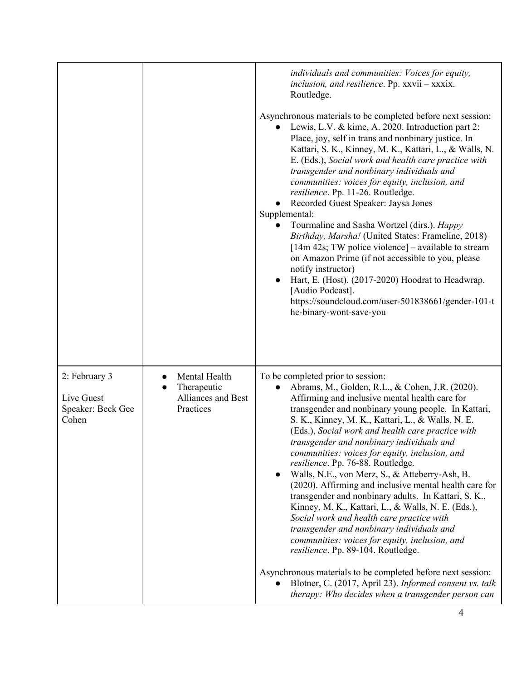|                                                           |                                                                 | individuals and communities: Voices for equity,<br>inclusion, and resilience. Pp. xxvii - xxxix.<br>Routledge.<br>Asynchronous materials to be completed before next session:<br>Lewis, L.V. & kime, A. 2020. Introduction part 2:<br>Place, joy, self in trans and nonbinary justice. In<br>Kattari, S. K., Kinney, M. K., Kattari, L., & Walls, N.<br>E. (Eds.), Social work and health care practice with<br>transgender and nonbinary individuals and<br>communities: voices for equity, inclusion, and<br>resilience. Pp. 11-26. Routledge.<br>Recorded Guest Speaker: Jaysa Jones<br>Supplemental:<br>Tourmaline and Sasha Wortzel (dirs.). Happy<br>Birthday, Marsha! (United States: Frameline, 2018)<br>$[14m 42s; TW$ police violence] – available to stream<br>on Amazon Prime (if not accessible to you, please<br>notify instructor)<br>Hart, E. (Host). (2017-2020) Hoodrat to Headwrap.<br>[Audio Podcast].<br>https://soundcloud.com/user-501838661/gender-101-t<br>he-binary-wont-save-you                             |
|-----------------------------------------------------------|-----------------------------------------------------------------|-----------------------------------------------------------------------------------------------------------------------------------------------------------------------------------------------------------------------------------------------------------------------------------------------------------------------------------------------------------------------------------------------------------------------------------------------------------------------------------------------------------------------------------------------------------------------------------------------------------------------------------------------------------------------------------------------------------------------------------------------------------------------------------------------------------------------------------------------------------------------------------------------------------------------------------------------------------------------------------------------------------------------------------------|
| 2: February 3<br>Live Guest<br>Speaker: Beck Gee<br>Cohen | Mental Health<br>Therapeutic<br>Alliances and Best<br>Practices | To be completed prior to session:<br>Abrams, M., Golden, R.L., & Cohen, J.R. (2020).<br>Affirming and inclusive mental health care for<br>transgender and nonbinary young people. In Kattari,<br>S. K., Kinney, M. K., Kattari, L., & Walls, N. E.<br>(Eds.), Social work and health care practice with<br>transgender and nonbinary individuals and<br>communities: voices for equity, inclusion, and<br>resilience. Pp. 76-88. Routledge.<br>Walls, N.E., von Merz, S., & Atteberry-Ash, B.<br>(2020). Affirming and inclusive mental health care for<br>transgender and nonbinary adults. In Kattari, S. K.,<br>Kinney, M. K., Kattari, L., & Walls, N. E. (Eds.),<br>Social work and health care practice with<br>transgender and nonbinary individuals and<br>communities: voices for equity, inclusion, and<br>resilience. Pp. 89-104. Routledge.<br>Asynchronous materials to be completed before next session:<br>Blotner, C. (2017, April 23). Informed consent vs. talk<br>therapy: Who decides when a transgender person can |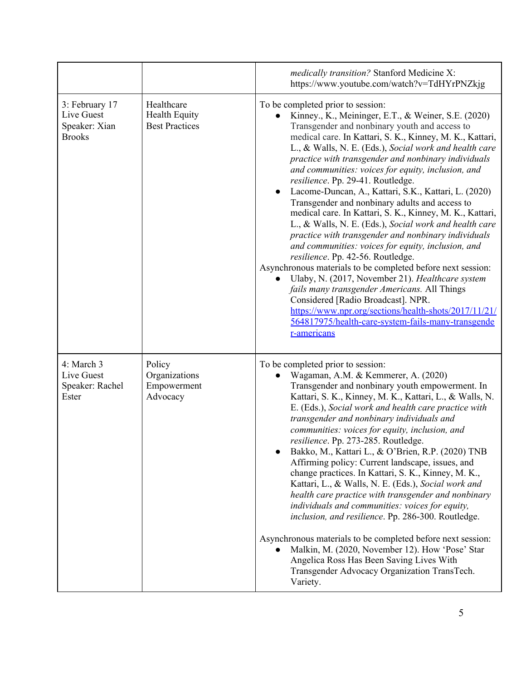|                                                                |                                                             | medically transition? Stanford Medicine X:<br>https://www.youtube.com/watch?v=TdHYrPNZkjg                                                                                                                                                                                                                                                                                                                                                                                                                                                                                                                                                                                                                                                                                                                                                                                                                                                                                                                                                                                                                                                  |
|----------------------------------------------------------------|-------------------------------------------------------------|--------------------------------------------------------------------------------------------------------------------------------------------------------------------------------------------------------------------------------------------------------------------------------------------------------------------------------------------------------------------------------------------------------------------------------------------------------------------------------------------------------------------------------------------------------------------------------------------------------------------------------------------------------------------------------------------------------------------------------------------------------------------------------------------------------------------------------------------------------------------------------------------------------------------------------------------------------------------------------------------------------------------------------------------------------------------------------------------------------------------------------------------|
| 3: February 17<br>Live Guest<br>Speaker: Xian<br><b>Brooks</b> | Healthcare<br><b>Health Equity</b><br><b>Best Practices</b> | To be completed prior to session:<br>Kinney., K., Meininger, E.T., & Weiner, S.E. (2020)<br>Transgender and nonbinary youth and access to<br>medical care. In Kattari, S. K., Kinney, M. K., Kattari,<br>L., & Walls, N. E. (Eds.), Social work and health care<br>practice with transgender and nonbinary individuals<br>and communities: voices for equity, inclusion, and<br>resilience. Pp. 29-41. Routledge.<br>Lacome-Duncan, A., Kattari, S.K., Kattari, L. (2020)<br>Transgender and nonbinary adults and access to<br>medical care. In Kattari, S. K., Kinney, M. K., Kattari,<br>L., & Walls, N. E. (Eds.), Social work and health care<br>practice with transgender and nonbinary individuals<br>and communities: voices for equity, inclusion, and<br>resilience. Pp. 42-56. Routledge.<br>Asynchronous materials to be completed before next session:<br>Ulaby, N. (2017, November 21). Healthcare system<br>fails many transgender Americans. All Things<br>Considered [Radio Broadcast]. NPR.<br>https://www.npr.org/sections/health-shots/2017/11/21/<br>564817975/health-care-system-fails-many-transgende<br>r-americans |
| 4: March 3<br>Live Guest<br>Speaker: Rachel<br>Ester           | Policy<br>Organizations<br>Empowerment<br>Advocacy          | To be completed prior to session:<br>Wagaman, A.M. & Kemmerer, A. (2020)<br>Transgender and nonbinary youth empowerment. In<br>Kattari, S. K., Kinney, M. K., Kattari, L., & Walls, N.<br>E. (Eds.), Social work and health care practice with<br>transgender and nonbinary individuals and<br>communities: voices for equity, inclusion, and<br>resilience. Pp. 273-285. Routledge.<br>Bakko, M., Kattari L., & O'Brien, R.P. (2020) TNB<br>Affirming policy: Current landscape, issues, and<br>change practices. In Kattari, S. K., Kinney, M. K.,<br>Kattari, L., & Walls, N. E. (Eds.), Social work and<br>health care practice with transgender and nonbinary<br>individuals and communities: voices for equity,<br>inclusion, and resilience. Pp. 286-300. Routledge.<br>Asynchronous materials to be completed before next session:<br>Malkin, M. (2020, November 12). How 'Pose' Star<br>Angelica Ross Has Been Saving Lives With<br>Transgender Advocacy Organization TransTech.<br>Variety.                                                                                                                                      |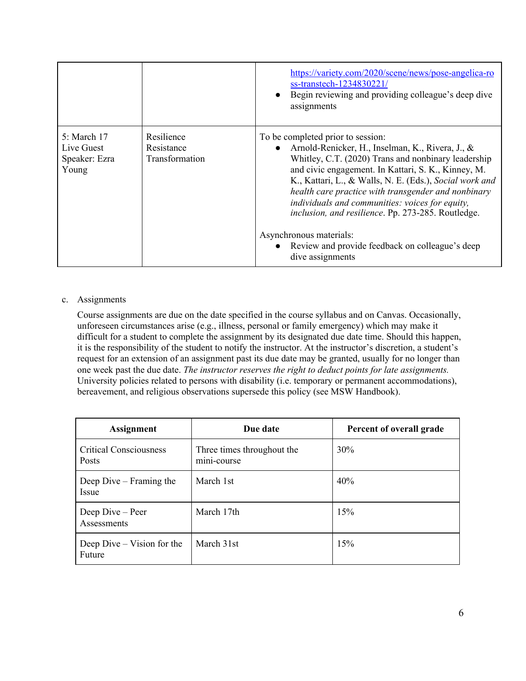|                                                     |                                            | https://variety.com/2020/scene/news/pose-angelica-ro<br>ss-transtech-1234830221/<br>• Begin reviewing and providing colleague's deep dive<br>assignments                                                                                                                                                                                                                                                                            |
|-----------------------------------------------------|--------------------------------------------|-------------------------------------------------------------------------------------------------------------------------------------------------------------------------------------------------------------------------------------------------------------------------------------------------------------------------------------------------------------------------------------------------------------------------------------|
| 5: March 17<br>Live Guest<br>Speaker: Ezra<br>Young | Resilience<br>Resistance<br>Transformation | To be completed prior to session:<br>• Arnold-Renicker, H., Inselman, K., Rivera, J., $\&$<br>Whitley, C.T. (2020) Trans and nonbinary leadership<br>and civic engagement. In Kattari, S. K., Kinney, M.<br>K., Kattari, L., & Walls, N. E. (Eds.), Social work and<br>health care practice with transgender and nonbinary<br>individuals and communities: voices for equity,<br>inclusion, and resilience. Pp. 273-285. Routledge. |
|                                                     |                                            | Asynchronous materials:<br>• Review and provide feedback on colleague's deep<br>dive assignments                                                                                                                                                                                                                                                                                                                                    |

## c. Assignments

Course assignments are due on the date specified in the course syllabus and on Canvas. Occasionally, unforeseen circumstances arise (e.g., illness, personal or family emergency) which may make it difficult for a student to complete the assignment by its designated due date time. Should this happen, it is the responsibility of the student to notify the instructor. At the instructor's discretion, a student's request for an extension of an assignment past its due date may be granted, usually for no longer than one week past the due date. *The instructor reserves the right to deduct points for late assignments.* University policies related to persons with disability (i.e. temporary or permanent accommodations), bereavement, and religious observations supersede this policy (see MSW Handbook).

| <b>Assignment</b>                      | Due date                                  | Percent of overall grade |
|----------------------------------------|-------------------------------------------|--------------------------|
| <b>Critical Consciousness</b><br>Posts | Three times throughout the<br>mini-course | 30%                      |
| Deep Dive – Framing the<br>Issue       | March 1st                                 | 40%                      |
| Deep Dive – Peer<br>Assessments        | March 17th                                | 15%                      |
| Deep Dive – Vision for the<br>Future   | March 31st                                | 15%                      |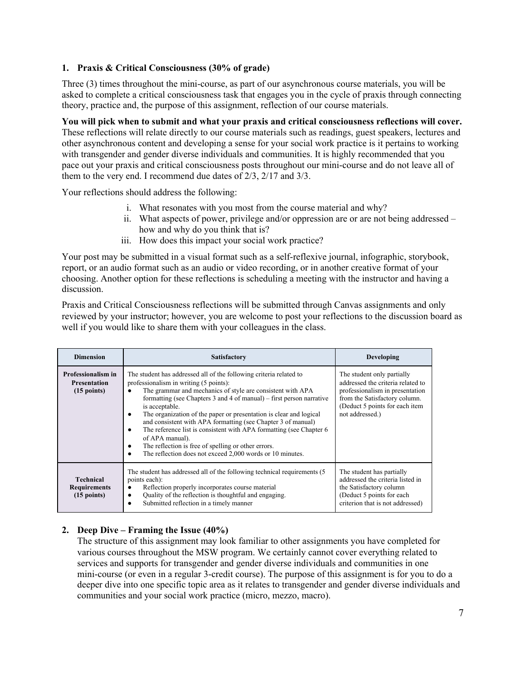# **1. Praxis & Critical Consciousness (30% of grade)**

Three (3) times throughout the mini-course, as part of our asynchronous course materials, you will be asked to complete a critical consciousness task that engages you in the cycle of praxis through connecting theory, practice and, the purpose of this assignment, reflection of our course materials.

**You will pick when to submit and what your praxis and critical consciousness reflections will cover.** These reflections will relate directly to our course materials such as readings, guest speakers, lectures and other asynchronous content and developing a sense for your social work practice is it pertains to working with transgender and gender diverse individuals and communities. It is highly recommended that you pace out your praxis and critical consciousness posts throughout our mini-course and do not leave all of them to the very end. I recommend due dates of 2/3, 2/17 and 3/3.

Your reflections should address the following:

- i. What resonates with you most from the course material and why?
- ii. What aspects of power, privilege and/or oppression are or are not being addressed how and why do you think that is?
- iii. How does this impact your social work practice?

Your post may be submitted in a visual format such as a self-reflexive journal, infographic, storybook, report, or an audio format such as an audio or video recording, or in another creative format of your choosing. Another option for these reflections is scheduling a meeting with the instructor and having a discussion.

Praxis and Critical Consciousness reflections will be submitted through Canvas assignments and only reviewed by your instructor; however, you are welcome to post your reflections to the discussion board as well if you would like to share them with your colleagues in the class.

| <b>Dimension</b>                                                          | <b>Satisfactory</b>                                                                                                                                                                                                                                                                                                                                                                                                                                                                                                                                                                                                                                   | Developing                                                                                                                                                                               |
|---------------------------------------------------------------------------|-------------------------------------------------------------------------------------------------------------------------------------------------------------------------------------------------------------------------------------------------------------------------------------------------------------------------------------------------------------------------------------------------------------------------------------------------------------------------------------------------------------------------------------------------------------------------------------------------------------------------------------------------------|------------------------------------------------------------------------------------------------------------------------------------------------------------------------------------------|
| <b>Professionalism in</b><br><b>Presentation</b><br>$(15 \text{ points})$ | The student has addressed all of the following criteria related to<br>professionalism in writing (5 points):<br>The grammar and mechanics of style are consistent with APA<br>formatting (see Chapters 3 and 4 of manual) – first person narrative<br>is acceptable.<br>The organization of the paper or presentation is clear and logical<br>٠<br>and consistent with APA formatting (see Chapter 3 of manual)<br>The reference list is consistent with APA formatting (see Chapter 6)<br>٠<br>of APA manual).<br>The reflection is free of spelling or other errors.<br>٠<br>The reflection does not exceed 2,000 words or 10 minutes.<br>$\bullet$ | The student only partially<br>addressed the criteria related to<br>professionalism in presentation<br>from the Satisfactory column.<br>(Deduct 5 points for each item<br>not addressed.) |
| <b>Technical</b><br><b>Requirements</b><br>$(15$ points)                  | The student has addressed all of the following technical requirements (5)<br>points each):<br>Reflection properly incorporates course material<br>٠<br>Quality of the reflection is thoughtful and engaging.<br>٠<br>Submitted reflection in a timely manner<br>$\bullet$                                                                                                                                                                                                                                                                                                                                                                             | The student has partially<br>addressed the criteria listed in<br>the Satisfactory column<br>(Deduct 5 points for each)<br>criterion that is not addressed)                               |

# **2. Deep Dive – Framing the Issue (40%)**

The structure of this assignment may look familiar to other assignments you have completed for various courses throughout the MSW program. We certainly cannot cover everything related to services and supports for transgender and gender diverse individuals and communities in one mini-course (or even in a regular 3-credit course). The purpose of this assignment is for you to do a deeper dive into one specific topic area as it relates to transgender and gender diverse individuals and communities and your social work practice (micro, mezzo, macro).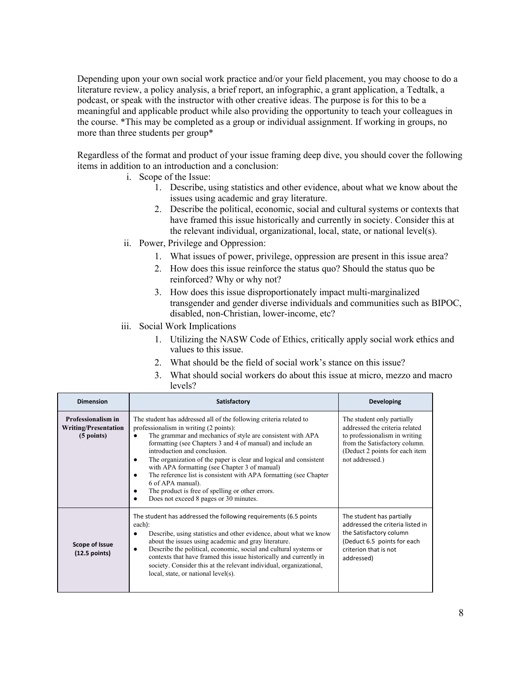Depending upon your own social work practice and/or your field placement, you may choose to do a literature review, a policy analysis, a brief report, an infographic, a grant application, a Tedtalk, a podcast, or speak with the instructor with other creative ideas. The purpose is for this to be a meaningful and applicable product while also providing the opportunity to teach your colleagues in the course. \*This may be completed as a group or individual assignment. If working in groups, no more than three students per group\*

Regardless of the format and product of your issue framing deep dive, you should cover the following items in addition to an introduction and a conclusion:

- i. Scope of the Issue:
	- 1. Describe, using statistics and other evidence, about what we know about the issues using academic and gray literature.
	- 2. Describe the political, economic, social and cultural systems or contexts that have framed this issue historically and currently in society. Consider this at the relevant individual, organizational, local, state, or national level(s).
- ii. Power, Privilege and Oppression:
	- 1. What issues of power, privilege, oppression are present in this issue area?
	- 2. How does this issue reinforce the status quo? Should the status quo be reinforced? Why or why not?
	- 3. How does this issue disproportionately impact multi-marginalized transgender and gender diverse individuals and communities such as BIPOC, disabled, non-Christian, lower-income, etc?
- iii. Social Work Implications
	- 1. Utilizing the NASW Code of Ethics, critically apply social work ethics and values to this issue.
	- 2. What should be the field of social work's stance on this issue?
	- 3. What should social workers do about this issue at micro, mezzo and macro levels?

| <b>Dimension</b>                                                  | Satisfactory                                                                                                                                                                                                                                                                                                                                                                                                                                                                                                                                                                                                                       | Developing                                                                                                                                                                          |
|-------------------------------------------------------------------|------------------------------------------------------------------------------------------------------------------------------------------------------------------------------------------------------------------------------------------------------------------------------------------------------------------------------------------------------------------------------------------------------------------------------------------------------------------------------------------------------------------------------------------------------------------------------------------------------------------------------------|-------------------------------------------------------------------------------------------------------------------------------------------------------------------------------------|
| Professionalism in<br><b>Writing/Presentation</b><br>$(5$ points) | The student has addressed all of the following criteria related to<br>professionalism in writing (2 points):<br>The grammar and mechanics of style are consistent with APA<br>$\bullet$<br>formatting (see Chapters 3 and 4 of manual) and include an<br>introduction and conclusion.<br>The organization of the paper is clear and logical and consistent<br>٠<br>with APA formatting (see Chapter 3 of manual)<br>The reference list is consistent with APA formatting (see Chapter<br>$\bullet$<br>6 of APA manual).<br>The product is free of spelling or other errors.<br>Does not exceed 8 pages or 30 minutes.<br>$\bullet$ | The student only partially<br>addressed the criteria related<br>to professionalism in writing<br>from the Satisfactory column.<br>(Deduct 2 points for each item<br>not addressed.) |
| Scope of Issue<br>$(12.5$ points)                                 | The student has addressed the following requirements (6.5 points<br>each):<br>Describe, using statistics and other evidence, about what we know<br>$\bullet$<br>about the issues using academic and gray literature.<br>Describe the political, economic, social and cultural systems or<br>$\bullet$<br>contexts that have framed this issue historically and currently in<br>society. Consider this at the relevant individual, organizational,<br>local, state, or national level(s).                                                                                                                                           | The student has partially<br>addressed the criteria listed in<br>the Satisfactory column<br>(Deduct 6.5 points for each<br>criterion that is not<br>addressed)                      |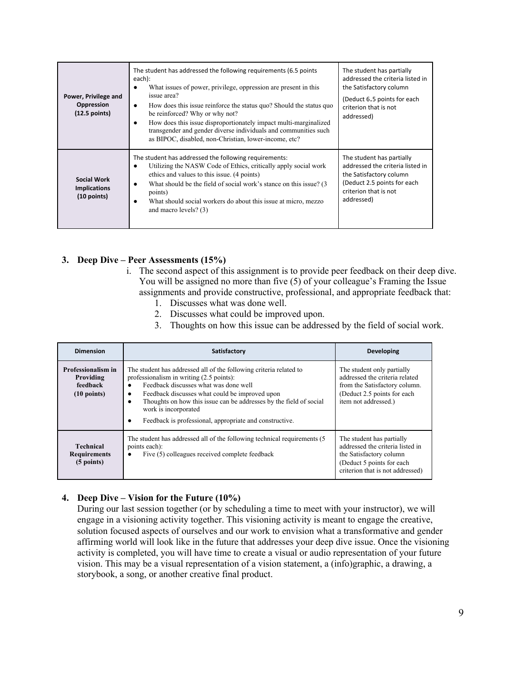| Power, Privilege and<br>Oppression<br>$(12.5$ points)      | The student has addressed the following requirements (6.5 points<br>each):<br>What issues of power, privilege, oppression are present in this<br>$\bullet$<br>issue area?<br>How does this issue reinforce the status quo? Should the status quo<br>$\bullet$<br>be reinforced? Why or why not?<br>How does this issue disproportionately impact multi-marginalized<br>٠<br>transgender and gender diverse individuals and communities such<br>as BIPOC, disabled, non-Christian, lower-income, etc? | The student has partially<br>addressed the criteria listed in<br>the Satisfactory column<br>(Deduct 6.5 points for each<br>criterion that is not<br>addressed) |
|------------------------------------------------------------|------------------------------------------------------------------------------------------------------------------------------------------------------------------------------------------------------------------------------------------------------------------------------------------------------------------------------------------------------------------------------------------------------------------------------------------------------------------------------------------------------|----------------------------------------------------------------------------------------------------------------------------------------------------------------|
| <b>Social Work</b><br><b>Implications</b><br>$(10$ points) | The student has addressed the following requirements:<br>Utilizing the NASW Code of Ethics, critically apply social work<br>$\bullet$<br>ethics and values to this issue. (4 points)<br>What should be the field of social work's stance on this issue? (3)<br>٠<br>points)<br>What should social workers do about this issue at micro, mezzo<br>٠<br>and macro levels? (3)                                                                                                                          | The student has partially<br>addressed the criteria listed in<br>the Satisfactory column<br>(Deduct 2.5 points for each<br>criterion that is not<br>addressed) |

# **3. Deep Dive – Peer Assessments (15%)**

- i. The second aspect of this assignment is to provide peer feedback on their deep dive. You will be assigned no more than five (5) of your colleague's Framing the Issue assignments and provide constructive, professional, and appropriate feedback that:
	- 1. Discusses what was done well.
	- 2. Discusses what could be improved upon.
	- 3. Thoughts on how this issue can be addressed by the field of social work.

| <b>Dimension</b>                                                     | Satisfactory                                                                                                                                                                                                                                                                                                                                                                              | <b>Developing</b>                                                                                                                                          |
|----------------------------------------------------------------------|-------------------------------------------------------------------------------------------------------------------------------------------------------------------------------------------------------------------------------------------------------------------------------------------------------------------------------------------------------------------------------------------|------------------------------------------------------------------------------------------------------------------------------------------------------------|
| Professionalism in<br>Providing<br>feedback<br>$(10 \text{ points})$ | The student has addressed all of the following criteria related to<br>professionalism in writing (2.5 points):<br>Feedback discusses what was done well<br>Feedback discusses what could be improved upon<br>$\bullet$<br>Thoughts on how this issue can be addresses by the field of social<br>٠<br>work is incorporated<br>Feedback is professional, appropriate and constructive.<br>٠ | The student only partially<br>addressed the criteria related<br>from the Satisfactory column.<br>(Deduct 2.5 points for each)<br>item not addressed.)      |
| <b>Technical</b><br><b>Requirements</b><br>$(5$ points)              | The student has addressed all of the following technical requirements (5)<br>points each):<br>Five (5) colleagues received complete feedback<br>٠                                                                                                                                                                                                                                         | The student has partially<br>addressed the criteria listed in<br>the Satisfactory column<br>(Deduct 5 points for each)<br>criterion that is not addressed) |

## **4. Deep Dive – Vision for the Future (10%)**

During our last session together (or by scheduling a time to meet with your instructor), we will engage in a visioning activity together. This visioning activity is meant to engage the creative, solution focused aspects of ourselves and our work to envision what a transformative and gender affirming world will look like in the future that addresses your deep dive issue. Once the visioning activity is completed, you will have time to create a visual or audio representation of your future vision. This may be a visual representation of a vision statement, a (info)graphic, a drawing, a storybook, a song, or another creative final product.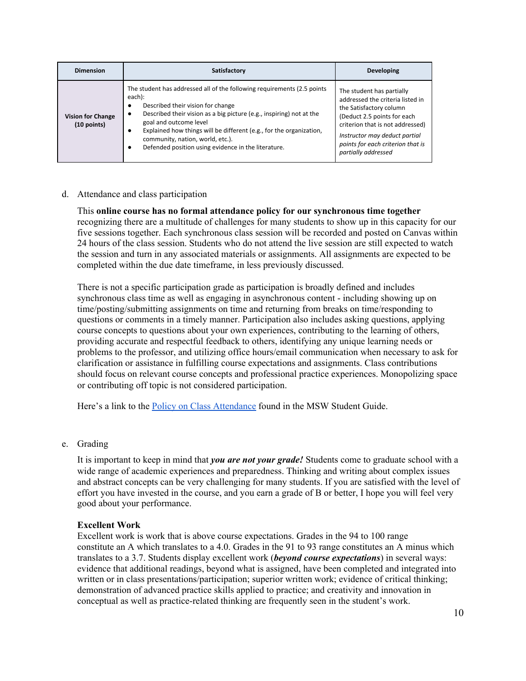| <b>Dimension</b>                          | Satisfactory                                                                                                                                                                                                                                                                                                                                                                                                               | <b>Developing</b>                                                                                                                                                                                                                                        |
|-------------------------------------------|----------------------------------------------------------------------------------------------------------------------------------------------------------------------------------------------------------------------------------------------------------------------------------------------------------------------------------------------------------------------------------------------------------------------------|----------------------------------------------------------------------------------------------------------------------------------------------------------------------------------------------------------------------------------------------------------|
| <b>Vision for Change</b><br>$(10$ points) | The student has addressed all of the following requirements (2.5 points)<br>each):<br>Described their vision for change<br>٠<br>Described their vision as a big picture (e.g., inspiring) not at the<br>$\bullet$<br>goal and outcome level<br>Explained how things will be different (e.g., for the organization,<br>community, nation, world, etc.).<br>Defended position using evidence in the literature.<br>$\bullet$ | The student has partially<br>addressed the criteria listed in<br>the Satisfactory column<br>(Deduct 2.5 points for each<br>criterion that is not addressed)<br>Instructor may deduct partial<br>points for each criterion that is<br>partially addressed |

### d. Attendance and class participation

This **online course has no formal attendance policy for our synchronous time together** recognizing there are a multitude of challenges for many students to show up in this capacity for our five sessions together. Each synchronous class session will be recorded and posted on Canvas within 24 hours of the class session. Students who do not attend the live session are still expected to watch the session and turn in any associated materials or assignments. All assignments are expected to be completed within the due date timeframe, in less previously discussed.

There is not a specific participation grade as participation is broadly defined and includes synchronous class time as well as engaging in asynchronous content - including showing up on time/posting/submitting assignments on time and returning from breaks on time/responding to questions or comments in a timely manner. Participation also includes asking questions, applying course concepts to questions about your own experiences, contributing to the learning of others, providing accurate and respectful feedback to others, identifying any unique learning needs or problems to the professor, and utilizing office hours/email communication when necessary to ask for clarification or assistance in fulfilling course expectations and assignments. Class contributions should focus on relevant course concepts and professional practice experiences. Monopolizing space or contributing off topic is not considered participation.

Here's a link to the Policy on Class [Attendance](https://ssw.umich.edu/msw-student-guide/section/1.09.00/17/policy-on-class-attendance) found in the MSW Student Guide.

e. Grading

It is important to keep in mind that *you are not your grade!* Students come to graduate school with a wide range of academic experiences and preparedness. Thinking and writing about complex issues and abstract concepts can be very challenging for many students. If you are satisfied with the level of effort you have invested in the course, and you earn a grade of B or better, I hope you will feel very good about your performance.

## **Excellent Work**

Excellent work is work that is above course expectations. Grades in the 94 to 100 range constitute an A which translates to a 4.0. Grades in the 91 to 93 range constitutes an A minus which translates to a 3.7. Students display excellent work (*beyond course expectations*) in several ways: evidence that additional readings, beyond what is assigned, have been completed and integrated into written or in class presentations/participation; superior written work; evidence of critical thinking; demonstration of advanced practice skills applied to practice; and creativity and innovation in conceptual as well as practice-related thinking are frequently seen in the student's work.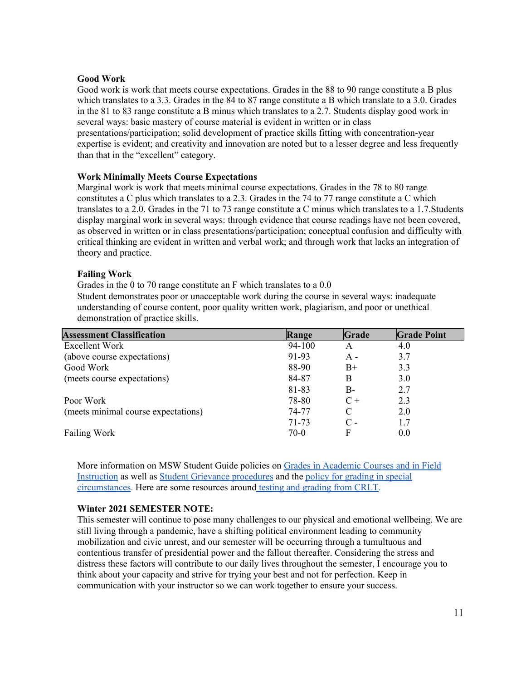## **Good Work**

Good work is work that meets course expectations. Grades in the 88 to 90 range constitute a B plus which translates to a 3.3. Grades in the 84 to 87 range constitute a B which translate to a 3.0. Grades in the 81 to 83 range constitute a B minus which translates to a 2.7. Students display good work in several ways: basic mastery of course material is evident in written or in class

presentations/participation; solid development of practice skills fitting with concentration-year expertise is evident; and creativity and innovation are noted but to a lesser degree and less frequently than that in the "excellent" category.

# **Work Minimally Meets Course Expectations**

Marginal work is work that meets minimal course expectations. Grades in the 78 to 80 range constitutes a C plus which translates to a 2.3. Grades in the 74 to 77 range constitute a C which translates to a 2.0. Grades in the 71 to 73 range constitute a C minus which translates to a 1.7.Students display marginal work in several ways: through evidence that course readings have not been covered, as observed in written or in class presentations/participation; conceptual confusion and difficulty with critical thinking are evident in written and verbal work; and through work that lacks an integration of theory and practice.

# **Failing Work**

Grades in the 0 to 70 range constitute an F which translates to a 0.0 Student demonstrates poor or unacceptable work during the course in several ways: inadequate understanding of course content, poor quality written work, plagiarism, and poor or unethical demonstration of practice skills.

| <b>Assessment Classification</b>    | Range  | Grade           | <b>Grade Point</b> |
|-------------------------------------|--------|-----------------|--------------------|
| Excellent Work                      | 94-100 |                 | 4.0                |
| (above course expectations)         | 91-93  | A -             | 3.7                |
| Good Work                           | 88-90  | $B+$            | 3.3                |
| (meets course expectations)         | 84-87  | B               | 3.0                |
|                                     | 81-83  | B-              | 2.7                |
| Poor Work                           | 78-80  | $C +$           | 2.3                |
| (meets minimal course expectations) | 74-77  | C               | 2.0                |
|                                     | 71-73  | $\mathcal{C}$ - | 1.7                |
| Failing Work                        | 70-0   | F               | 0.0                |

More information on MSW Student Guide policies on Grades in [Academic](http://ssw.umich.edu/msw-student-guide/chapter/1.08/grades-in-academic-courses-and-in-field-instruction) Courses and in Field [Instruction](http://ssw.umich.edu/msw-student-guide/chapter/1.08/grades-in-academic-courses-and-in-field-instruction) as well as Student Grievance [procedures](http://ssw.umich.edu/msw-student-guide/chapter/1.18/student-grievances) and the policy for [grading](https://ssw.umich.edu/msw-student-guide/section/1.08.01/15/grades-for-special-circumstances) in special [circumstances](https://ssw.umich.edu/msw-student-guide/section/1.08.01/15/grades-for-special-circumstances). Here are some resources around testing and [grading](http://www.crlt.umich.edu/testing_and_grading) from CRLT.

## **Winter 2021 SEMESTER NOTE:**

This semester will continue to pose many challenges to our physical and emotional wellbeing. We are still living through a pandemic, have a shifting political environment leading to community mobilization and civic unrest, and our semester will be occurring through a tumultuous and contentious transfer of presidential power and the fallout thereafter. Considering the stress and distress these factors will contribute to our daily lives throughout the semester, I encourage you to think about your capacity and strive for trying your best and not for perfection. Keep in communication with your instructor so we can work together to ensure your success.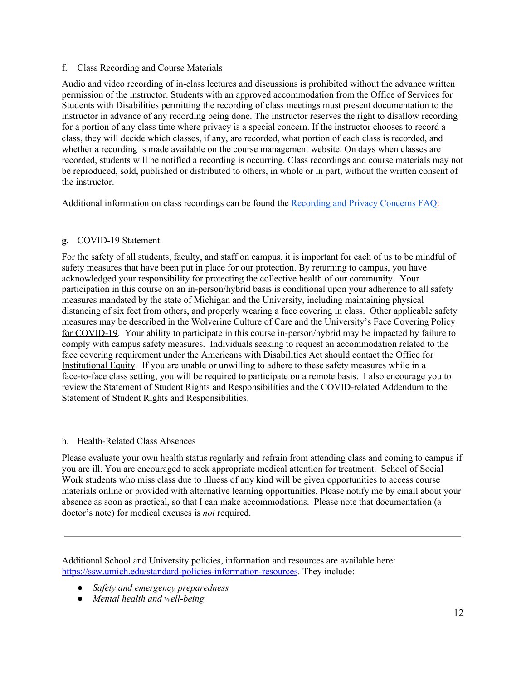## f. Class Recording and Course Materials

Audio and video recording of in-class lectures and discussions is prohibited without the advance written permission of the instructor. Students with an approved accommodation from the Office of Services for Students with Disabilities permitting the recording of class meetings must present documentation to the instructor in advance of any recording being done. The instructor reserves the right to disallow recording for a portion of any class time where privacy is a special concern. If the instructor chooses to record a class, they will decide which classes, if any, are recorded, what portion of each class is recorded, and whether a recording is made available on the course management website. On days when classes are recorded, students will be notified a recording is occurring. Class recordings and course materials may not be reproduced, sold, published or distributed to others, in whole or in part, without the written consent of the instructor.

Additional information on class recordings can be found the [Recording](https://safecomputing.umich.edu/be-aware/privacy/privacy-u-m/videoconferencing/recording-privacy-concerns-faq) and Privacy Concerns FAQ:

# **g.** COVID-19 Statement

For the safety of all students, faculty, and staff on campus, it is important for each of us to be mindful of safety measures that have been put in place for our protection. By returning to campus, you have acknowledged your responsibility for protecting the collective health of our community. Your participation in this course on an in-person/hybrid basis is conditional upon your adherence to all safety measures mandated by the state of Michigan and the University, including maintaining physical distancing of six feet from others, and properly wearing a face covering in class. Other applicable safety measures may be described in the [Wolverine](https://campusblueprint.umich.edu/uploads/Wolverine_Culture_of_Care%20sign_8.5x11_UPDATED_071520.pdf) Culture of Care and the [University's](http://ehs.umich.edu/wp-content/uploads/2020/07/U-M-Face-Covering-Policy-for-COVID-19.pdf) Face Covering Policy for [COVID-19](http://ehs.umich.edu/wp-content/uploads/2020/07/U-M-Face-Covering-Policy-for-COVID-19.pdf). Your ability to participate in this course in-person/hybrid may be impacted by failure to comply with campus safety measures. Individuals seeking to request an accommodation related to the face covering requirement under the Americans with Disabilities Act should contact the [Office](https://oie.umich.edu/american-with-disabilities-act-ada/) for [Institutional](https://oie.umich.edu/american-with-disabilities-act-ada/) Equity. If you are unable or unwilling to adhere to these safety measures while in a face-to-face class setting, you will be required to participate on a remote basis. I also encourage you to review the Statement of Student Rights and [Responsibilities](https://oscr.umich.edu/statement#1) and the [COVID-related](https://oscr.umich.edu/sites/oscr.umich.edu/files/2020_statement_addendum_final_approved.pdf) Addendum to the Statement of Student Rights and [Responsibilities](https://oscr.umich.edu/sites/oscr.umich.edu/files/2020_statement_addendum_final_approved.pdf).

# h. Health-Related Class Absences

Please evaluate your own health status regularly and refrain from attending class and coming to campus if you are ill. You are encouraged to seek appropriate medical attention for treatment. School of Social Work students who miss class due to illness of any kind will be given opportunities to access course materials online or provided with alternative learning opportunities. Please notify me by email about your absence as soon as practical, so that I can make accommodations. Please note that documentation (a doctor's note) for medical excuses is *not* required.

Additional School and University policies, information and resources are available here: <https://ssw.umich.edu/standard-policies-information-resources>. They include:

- *● Safety and emergency preparedness*
- *● Mental health and well-being*